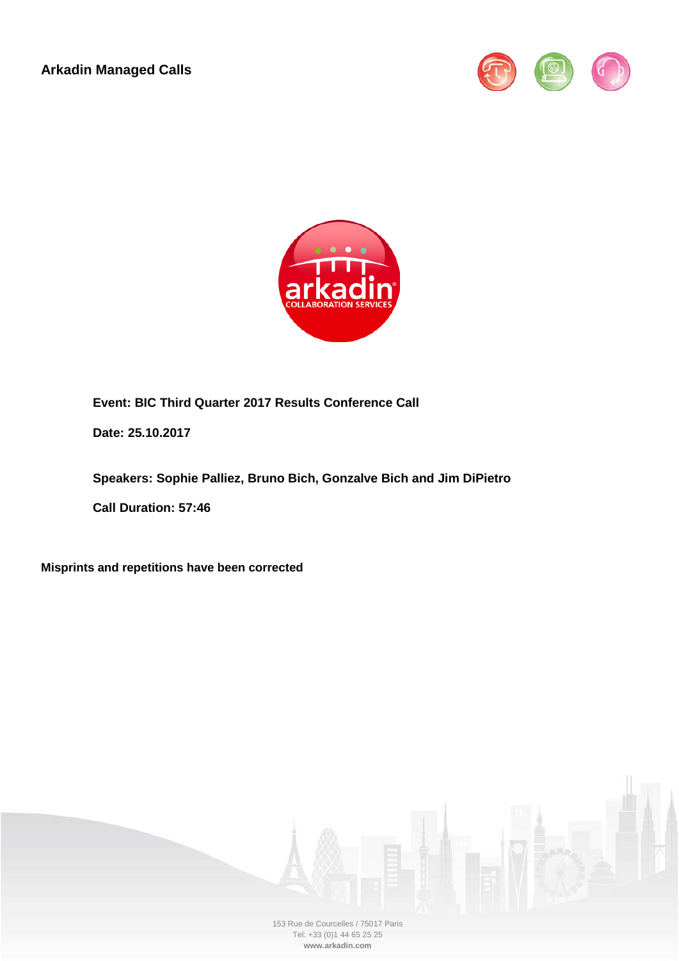**Arkadin Managed Calls**





**Event: BIC Third Quarter 2017 Results Conference Call**

**Date: 25.10.2017**

**Speakers: Sophie Palliez, Bruno Bich, Gonzalve Bich and Jim DiPietro**

**Call Duration: 57:46**

**Misprints and repetitions have been corrected**

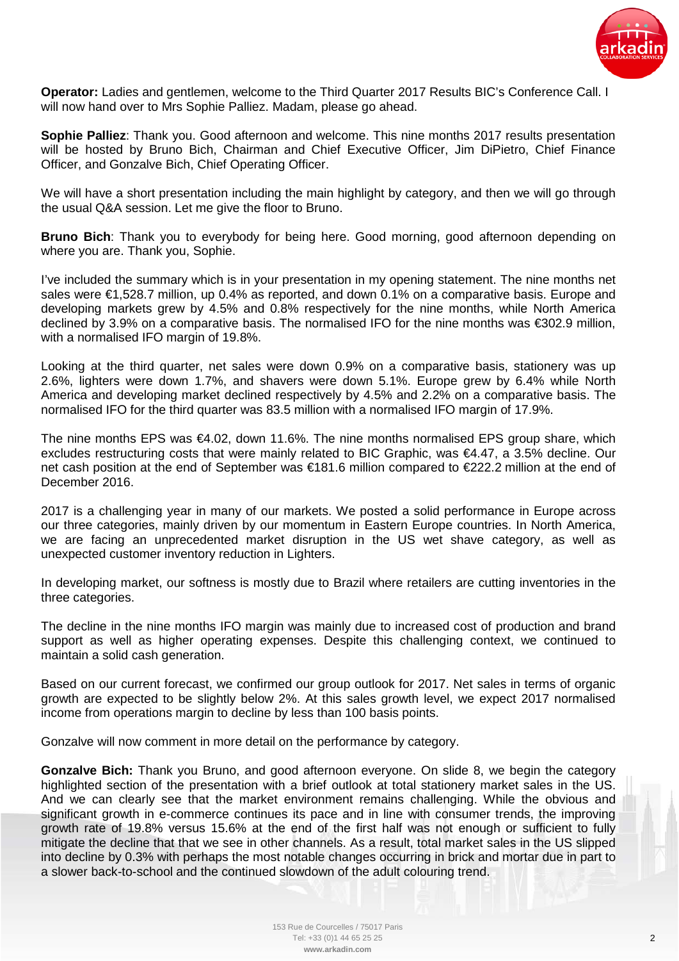

**Operator:** Ladies and gentlemen, welcome to the Third Quarter 2017 Results BIC's Conference Call. I will now hand over to Mrs Sophie Palliez. Madam, please go ahead.

**Sophie Palliez**: Thank you. Good afternoon and welcome. This nine months 2017 results presentation will be hosted by Bruno Bich, Chairman and Chief Executive Officer, Jim DiPietro, Chief Finance Officer, and Gonzalve Bich, Chief Operating Officer.

We will have a short presentation including the main highlight by category, and then we will go through the usual Q&A session. Let me give the floor to Bruno.

**Bruno Bich**: Thank you to everybody for being here. Good morning, good afternoon depending on where you are. Thank you, Sophie.

I've included the summary which is in your presentation in my opening statement. The nine months net sales were €1,528.7 million, up 0.4% as reported, and down 0.1% on a comparative basis. Europe and developing markets grew by 4.5% and 0.8% respectively for the nine months, while North America declined by 3.9% on a comparative basis. The normalised IFO for the nine months was €302.9 million, with a normalised IFO margin of 19.8%.

Looking at the third quarter, net sales were down 0.9% on a comparative basis, stationery was up 2.6%, lighters were down 1.7%, and shavers were down 5.1%. Europe grew by 6.4% while North America and developing market declined respectively by 4.5% and 2.2% on a comparative basis. The normalised IFO for the third quarter was 83.5 million with a normalised IFO margin of 17.9%.

The nine months EPS was €4.02, down 11.6%. The nine months normalised EPS group share, which excludes restructuring costs that were mainly related to BIC Graphic, was €4.47, a 3.5% decline. Our net cash position at the end of September was €181.6 million compared to €222.2 million at the end of December 2016.

2017 is a challenging year in many of our markets. We posted a solid performance in Europe across our three categories, mainly driven by our momentum in Eastern Europe countries. In North America, we are facing an unprecedented market disruption in the US wet shave category, as well as unexpected customer inventory reduction in Lighters.

In developing market, our softness is mostly due to Brazil where retailers are cutting inventories in the three categories.

The decline in the nine months IFO margin was mainly due to increased cost of production and brand support as well as higher operating expenses. Despite this challenging context, we continued to maintain a solid cash generation.

Based on our current forecast, we confirmed our group outlook for 2017. Net sales in terms of organic growth are expected to be slightly below 2%. At this sales growth level, we expect 2017 normalised income from operations margin to decline by less than 100 basis points.

Gonzalve will now comment in more detail on the performance by category.

**Gonzalve Bich:** Thank you Bruno, and good afternoon everyone. On slide 8, we begin the category highlighted section of the presentation with a brief outlook at total stationery market sales in the US. And we can clearly see that the market environment remains challenging. While the obvious and significant growth in e-commerce continues its pace and in line with consumer trends, the improving growth rate of 19.8% versus 15.6% at the end of the first half was not enough or sufficient to fully mitigate the decline that that we see in other channels. As a result, total market sales in the US slipped into decline by 0.3% with perhaps the most notable changes occurring in brick and mortar due in part to a slower back-to-school and the continued slowdown of the adult colouring trend.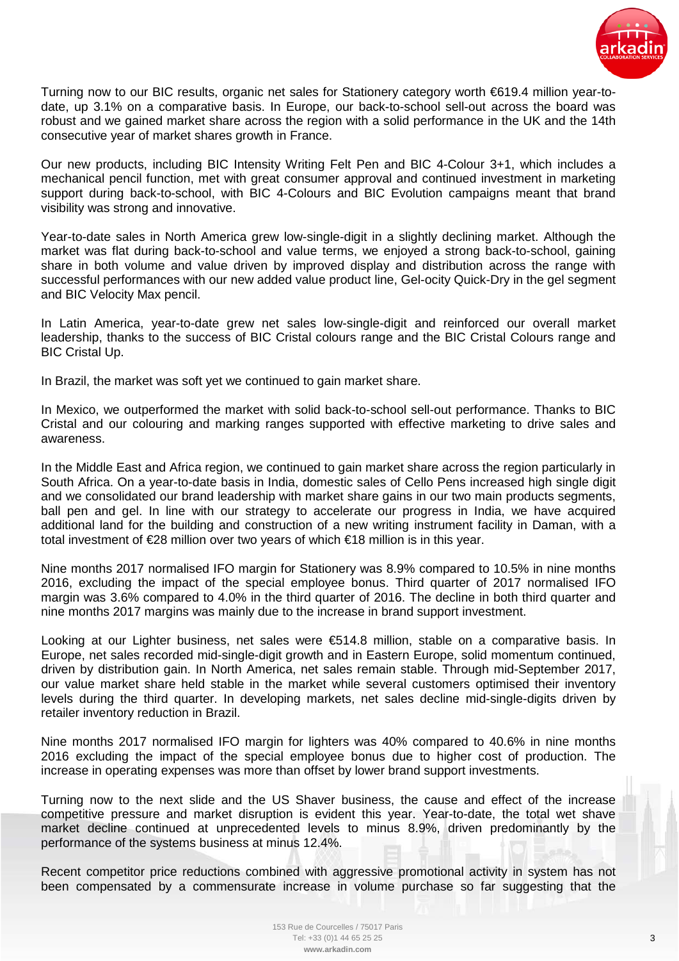

Turning now to our BIC results, organic net sales for Stationery category worth €619.4 million year-todate, up 3.1% on a comparative basis. In Europe, our back-to-school sell-out across the board was robust and we gained market share across the region with a solid performance in the UK and the 14th consecutive year of market shares growth in France.

Our new products, including BIC Intensity Writing Felt Pen and BIC 4-Colour 3+1, which includes a mechanical pencil function, met with great consumer approval and continued investment in marketing support during back-to-school, with BIC 4-Colours and BIC Evolution campaigns meant that brand visibility was strong and innovative.

Year-to-date sales in North America grew low-single-digit in a slightly declining market. Although the market was flat during back-to-school and value terms, we enjoyed a strong back-to-school, gaining share in both volume and value driven by improved display and distribution across the range with successful performances with our new added value product line, Gel-ocity Quick-Dry in the gel segment and BIC Velocity Max pencil.

In Latin America, year-to-date grew net sales low-single-digit and reinforced our overall market leadership, thanks to the success of BIC Cristal colours range and the BIC Cristal Colours range and BIC Cristal Up.

In Brazil, the market was soft yet we continued to gain market share.

In Mexico, we outperformed the market with solid back-to-school sell-out performance. Thanks to BIC Cristal and our colouring and marking ranges supported with effective marketing to drive sales and awareness.

In the Middle East and Africa region, we continued to gain market share across the region particularly in South Africa. On a year-to-date basis in India, domestic sales of Cello Pens increased high single digit and we consolidated our brand leadership with market share gains in our two main products segments, ball pen and gel. In line with our strategy to accelerate our progress in India, we have acquired additional land for the building and construction of a new writing instrument facility in Daman, with a total investment of €28 million over two years of which €18 million is in this year.

Nine months 2017 normalised IFO margin for Stationery was 8.9% compared to 10.5% in nine months 2016, excluding the impact of the special employee bonus. Third quarter of 2017 normalised IFO margin was 3.6% compared to 4.0% in the third quarter of 2016. The decline in both third quarter and nine months 2017 margins was mainly due to the increase in brand support investment.

Looking at our Lighter business, net sales were €514.8 million, stable on a comparative basis. In Europe, net sales recorded mid-single-digit growth and in Eastern Europe, solid momentum continued, driven by distribution gain. In North America, net sales remain stable. Through mid-September 2017, our value market share held stable in the market while several customers optimised their inventory levels during the third quarter. In developing markets, net sales decline mid-single-digits driven by retailer inventory reduction in Brazil.

Nine months 2017 normalised IFO margin for lighters was 40% compared to 40.6% in nine months 2016 excluding the impact of the special employee bonus due to higher cost of production. The increase in operating expenses was more than offset by lower brand support investments.

Turning now to the next slide and the US Shaver business, the cause and effect of the increase competitive pressure and market disruption is evident this year. Year-to-date, the total wet shave market decline continued at unprecedented levels to minus 8.9%, driven predominantly by the performance of the systems business at minus 12.4%.

Recent competitor price reductions combined with aggressive promotional activity in system has not been compensated by a commensurate increase in volume purchase so far suggesting that the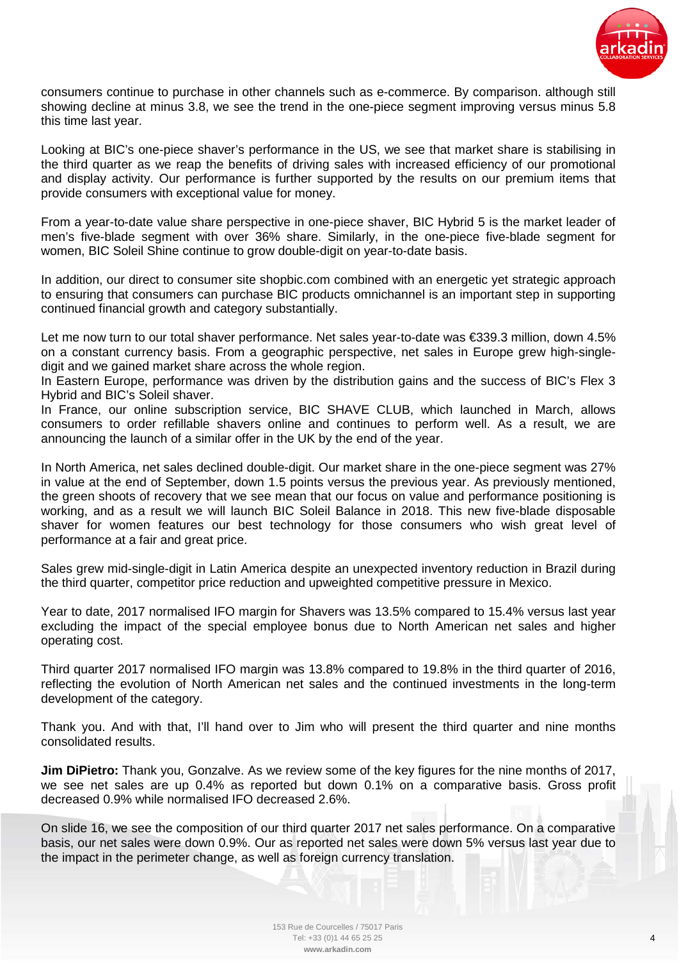

consumers continue to purchase in other channels such as e-commerce. By comparison. although still showing decline at minus 3.8, we see the trend in the one-piece segment improving versus minus 5.8 this time last year.

Looking at BIC's one-piece shaver's performance in the US, we see that market share is stabilising in the third quarter as we reap the benefits of driving sales with increased efficiency of our promotional and display activity. Our performance is further supported by the results on our premium items that provide consumers with exceptional value for money.

From a year-to-date value share perspective in one-piece shaver, BIC Hybrid 5 is the market leader of men's five-blade segment with over 36% share. Similarly, in the one-piece five-blade segment for women, BIC Soleil Shine continue to grow double-digit on year-to-date basis.

In addition, our direct to consumer site shopbic.com combined with an energetic yet strategic approach to ensuring that consumers can purchase BIC products omnichannel is an important step in supporting continued financial growth and category substantially.

Let me now turn to our total shaver performance. Net sales year-to-date was €339.3 million, down 4.5% on a constant currency basis. From a geographic perspective, net sales in Europe grew high-singledigit and we gained market share across the whole region.

In Eastern Europe, performance was driven by the distribution gains and the success of BIC's Flex 3 Hybrid and BIC's Soleil shaver.

In France, our online subscription service, BIC SHAVE CLUB, which launched in March, allows consumers to order refillable shavers online and continues to perform well. As a result, we are announcing the launch of a similar offer in the UK by the end of the year.

In North America, net sales declined double-digit. Our market share in the one-piece segment was 27% in value at the end of September, down 1.5 points versus the previous year. As previously mentioned, the green shoots of recovery that we see mean that our focus on value and performance positioning is working, and as a result we will launch BIC Soleil Balance in 2018. This new five-blade disposable shaver for women features our best technology for those consumers who wish great level of performance at a fair and great price.

Sales grew mid-single-digit in Latin America despite an unexpected inventory reduction in Brazil during the third quarter, competitor price reduction and upweighted competitive pressure in Mexico.

Year to date, 2017 normalised IFO margin for Shavers was 13.5% compared to 15.4% versus last year excluding the impact of the special employee bonus due to North American net sales and higher operating cost.

Third quarter 2017 normalised IFO margin was 13.8% compared to 19.8% in the third quarter of 2016, reflecting the evolution of North American net sales and the continued investments in the long-term development of the category.

Thank you. And with that, I'll hand over to Jim who will present the third quarter and nine months consolidated results.

**Jim DiPietro:** Thank you, Gonzalve. As we review some of the key figures for the nine months of 2017, we see net sales are up 0.4% as reported but down 0.1% on a comparative basis. Gross profit decreased 0.9% while normalised IFO decreased 2.6%.

On slide 16, we see the composition of our third quarter 2017 net sales performance. On a comparative basis, our net sales were down 0.9%. Our as reported net sales were down 5% versus last year due to the impact in the perimeter change, as well as foreign currency translation.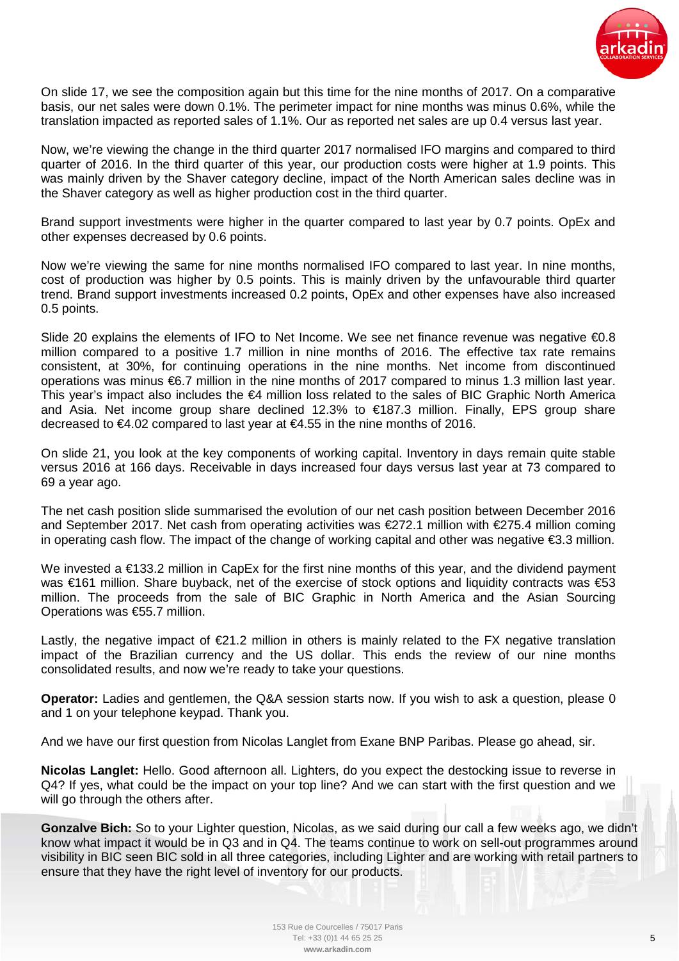

On slide 17, we see the composition again but this time for the nine months of 2017. On a comparative basis, our net sales were down 0.1%. The perimeter impact for nine months was minus 0.6%, while the translation impacted as reported sales of 1.1%. Our as reported net sales are up 0.4 versus last year.

Now, we're viewing the change in the third quarter 2017 normalised IFO margins and compared to third quarter of 2016. In the third quarter of this year, our production costs were higher at 1.9 points. This was mainly driven by the Shaver category decline, impact of the North American sales decline was in the Shaver category as well as higher production cost in the third quarter.

Brand support investments were higher in the quarter compared to last year by 0.7 points. OpEx and other expenses decreased by 0.6 points.

Now we're viewing the same for nine months normalised IFO compared to last year. In nine months, cost of production was higher by 0.5 points. This is mainly driven by the unfavourable third quarter trend. Brand support investments increased 0.2 points, OpEx and other expenses have also increased 0.5 points.

Slide 20 explains the elements of IFO to Net Income. We see net finance revenue was negative €0.8 million compared to a positive 1.7 million in nine months of 2016. The effective tax rate remains consistent, at 30%, for continuing operations in the nine months. Net income from discontinued operations was minus €6.7 million in the nine months of 2017 compared to minus 1.3 million last year. This year's impact also includes the €4 million loss related to the sales of BIC Graphic North America and Asia. Net income group share declined 12.3% to €187.3 million. Finally, EPS group share decreased to €4.02 compared to last year at €4.55 in the nine months of 2016.

On slide 21, you look at the key components of working capital. Inventory in days remain quite stable versus 2016 at 166 days. Receivable in days increased four days versus last year at 73 compared to 69 a year ago.

The net cash position slide summarised the evolution of our net cash position between December 2016 and September 2017. Net cash from operating activities was €272.1 million with €275.4 million coming in operating cash flow. The impact of the change of working capital and other was negative €3.3 million.

We invested a €133.2 million in CapEx for the first nine months of this year, and the dividend payment was €161 million. Share buyback, net of the exercise of stock options and liquidity contracts was €53 million. The proceeds from the sale of BIC Graphic in North America and the Asian Sourcing Operations was €55.7 million.

Lastly, the negative impact of  $\epsilon$ 21.2 million in others is mainly related to the FX negative translation impact of the Brazilian currency and the US dollar. This ends the review of our nine months consolidated results, and now we're ready to take your questions.

**Operator:** Ladies and gentlemen, the Q&A session starts now. If you wish to ask a question, please 0 and 1 on your telephone keypad. Thank you.

And we have our first question from Nicolas Langlet from Exane BNP Paribas. Please go ahead, sir.

**Nicolas Langlet:** Hello. Good afternoon all. Lighters, do you expect the destocking issue to reverse in Q4? If yes, what could be the impact on your top line? And we can start with the first question and we will go through the others after.

**Gonzalve Bich:** So to your Lighter question, Nicolas, as we said during our call a few weeks ago, we didn't know what impact it would be in Q3 and in Q4. The teams continue to work on sell-out programmes around visibility in BIC seen BIC sold in all three categories, including Lighter and are working with retail partners to ensure that they have the right level of inventory for our products.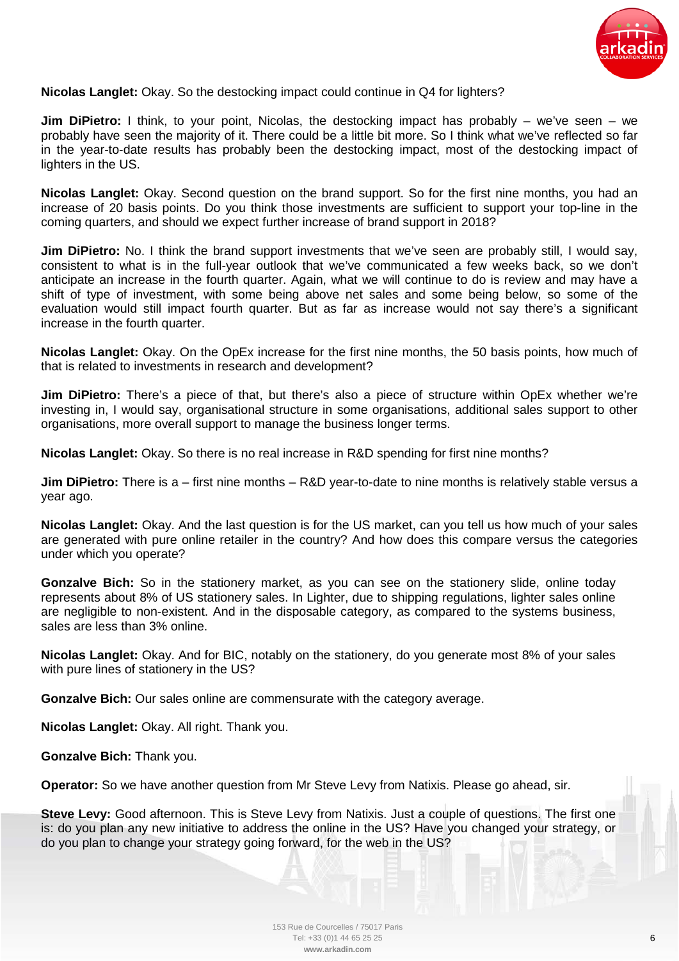

## **Nicolas Langlet:** Okay. So the destocking impact could continue in Q4 for lighters?

**Jim DiPietro:** I think, to your point, Nicolas, the destocking impact has probably – we've seen – we probably have seen the majority of it. There could be a little bit more. So I think what we've reflected so far in the year-to-date results has probably been the destocking impact, most of the destocking impact of lighters in the US.

**Nicolas Langlet:** Okay. Second question on the brand support. So for the first nine months, you had an increase of 20 basis points. Do you think those investments are sufficient to support your top-line in the coming quarters, and should we expect further increase of brand support in 2018?

**Jim DiPietro:** No. I think the brand support investments that we've seen are probably still, I would say, consistent to what is in the full-year outlook that we've communicated a few weeks back, so we don't anticipate an increase in the fourth quarter. Again, what we will continue to do is review and may have a shift of type of investment, with some being above net sales and some being below, so some of the evaluation would still impact fourth quarter. But as far as increase would not say there's a significant increase in the fourth quarter.

**Nicolas Langlet:** Okay. On the OpEx increase for the first nine months, the 50 basis points, how much of that is related to investments in research and development?

**Jim DiPietro:** There's a piece of that, but there's also a piece of structure within OpEx whether we're investing in, I would say, organisational structure in some organisations, additional sales support to other organisations, more overall support to manage the business longer terms.

**Nicolas Langlet:** Okay. So there is no real increase in R&D spending for first nine months?

**Jim DiPietro:** There is a – first nine months – R&D year-to-date to nine months is relatively stable versus a year ago.

**Nicolas Langlet:** Okay. And the last question is for the US market, can you tell us how much of your sales are generated with pure online retailer in the country? And how does this compare versus the categories under which you operate?

**Gonzalve Bich:** So in the stationery market, as you can see on the stationery slide, online today represents about 8% of US stationery sales. In Lighter, due to shipping regulations, lighter sales online are negligible to non-existent. And in the disposable category, as compared to the systems business, sales are less than 3% online.

**Nicolas Langlet:** Okay. And for BIC, notably on the stationery, do you generate most 8% of your sales with pure lines of stationery in the US?

**Gonzalve Bich:** Our sales online are commensurate with the category average.

**Nicolas Langlet:** Okay. All right. Thank you.

**Gonzalve Bich:** Thank you.

**Operator:** So we have another question from Mr Steve Levy from Natixis. Please go ahead, sir.

**Steve Levy:** Good afternoon. This is Steve Levy from Natixis. Just a couple of questions. The first one is: do you plan any new initiative to address the online in the US? Have you changed your strategy, or do you plan to change your strategy going forward, for the web in the US?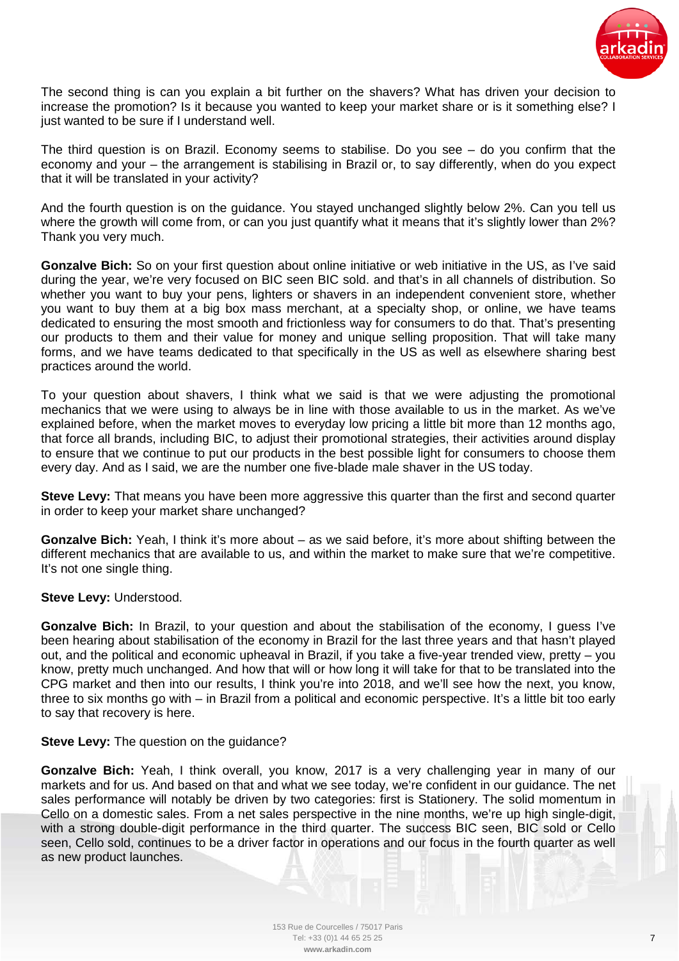

The second thing is can you explain a bit further on the shavers? What has driven your decision to increase the promotion? Is it because you wanted to keep your market share or is it something else? I just wanted to be sure if I understand well.

The third question is on Brazil. Economy seems to stabilise. Do you see – do you confirm that the economy and your – the arrangement is stabilising in Brazil or, to say differently, when do you expect that it will be translated in your activity?

And the fourth question is on the guidance. You stayed unchanged slightly below 2%. Can you tell us where the growth will come from, or can you just quantify what it means that it's slightly lower than 2%? Thank you very much.

**Gonzalve Bich:** So on your first question about online initiative or web initiative in the US, as I've said during the year, we're very focused on BIC seen BIC sold. and that's in all channels of distribution. So whether you want to buy your pens, lighters or shavers in an independent convenient store, whether you want to buy them at a big box mass merchant, at a specialty shop, or online, we have teams dedicated to ensuring the most smooth and frictionless way for consumers to do that. That's presenting our products to them and their value for money and unique selling proposition. That will take many forms, and we have teams dedicated to that specifically in the US as well as elsewhere sharing best practices around the world.

To your question about shavers, I think what we said is that we were adjusting the promotional mechanics that we were using to always be in line with those available to us in the market. As we've explained before, when the market moves to everyday low pricing a little bit more than 12 months ago, that force all brands, including BIC, to adjust their promotional strategies, their activities around display to ensure that we continue to put our products in the best possible light for consumers to choose them every day. And as I said, we are the number one five-blade male shaver in the US today.

**Steve Levy:** That means you have been more aggressive this quarter than the first and second quarter in order to keep your market share unchanged?

**Gonzalve Bich:** Yeah, I think it's more about – as we said before, it's more about shifting between the different mechanics that are available to us, and within the market to make sure that we're competitive. It's not one single thing.

#### **Steve Levy:** Understood.

**Gonzalve Bich:** In Brazil, to your question and about the stabilisation of the economy, I guess I've been hearing about stabilisation of the economy in Brazil for the last three years and that hasn't played out, and the political and economic upheaval in Brazil, if you take a five-year trended view, pretty – you know, pretty much unchanged. And how that will or how long it will take for that to be translated into the CPG market and then into our results, I think you're into 2018, and we'll see how the next, you know, three to six months go with – in Brazil from a political and economic perspective. It's a little bit too early to say that recovery is here.

#### **Steve Levy:** The question on the guidance?

**Gonzalve Bich:** Yeah, I think overall, you know, 2017 is a very challenging year in many of our markets and for us. And based on that and what we see today, we're confident in our guidance. The net sales performance will notably be driven by two categories: first is Stationery. The solid momentum in Cello on a domestic sales. From a net sales perspective in the nine months, we're up high single-digit, with a strong double-digit performance in the third quarter. The success BIC seen, BIC sold or Cello seen, Cello sold, continues to be a driver factor in operations and our focus in the fourth quarter as well as new product launches.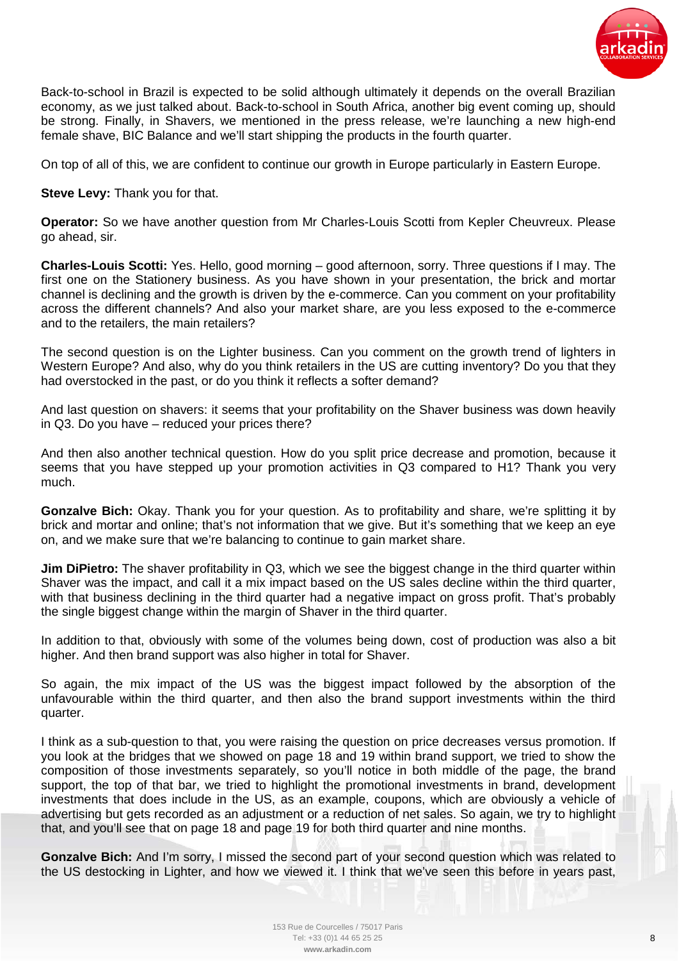

Back-to-school in Brazil is expected to be solid although ultimately it depends on the overall Brazilian economy, as we just talked about. Back-to-school in South Africa, another big event coming up, should be strong. Finally, in Shavers, we mentioned in the press release, we're launching a new high-end female shave, BIC Balance and we'll start shipping the products in the fourth quarter.

On top of all of this, we are confident to continue our growth in Europe particularly in Eastern Europe.

**Steve Levy:** Thank you for that.

**Operator:** So we have another question from Mr Charles-Louis Scotti from Kepler Cheuvreux. Please go ahead, sir.

**Charles-Louis Scotti:** Yes. Hello, good morning – good afternoon, sorry. Three questions if I may. The first one on the Stationery business. As you have shown in your presentation, the brick and mortar channel is declining and the growth is driven by the e-commerce. Can you comment on your profitability across the different channels? And also your market share, are you less exposed to the e-commerce and to the retailers, the main retailers?

The second question is on the Lighter business. Can you comment on the growth trend of lighters in Western Europe? And also, why do you think retailers in the US are cutting inventory? Do you that they had overstocked in the past, or do you think it reflects a softer demand?

And last question on shavers: it seems that your profitability on the Shaver business was down heavily in Q3. Do you have – reduced your prices there?

And then also another technical question. How do you split price decrease and promotion, because it seems that you have stepped up your promotion activities in Q3 compared to H1? Thank you very much.

**Gonzalve Bich:** Okay. Thank you for your question. As to profitability and share, we're splitting it by brick and mortar and online; that's not information that we give. But it's something that we keep an eye on, and we make sure that we're balancing to continue to gain market share.

**Jim DiPietro:** The shaver profitability in Q3, which we see the biggest change in the third quarter within Shaver was the impact, and call it a mix impact based on the US sales decline within the third quarter, with that business declining in the third quarter had a negative impact on gross profit. That's probably the single biggest change within the margin of Shaver in the third quarter.

In addition to that, obviously with some of the volumes being down, cost of production was also a bit higher. And then brand support was also higher in total for Shaver.

So again, the mix impact of the US was the biggest impact followed by the absorption of the unfavourable within the third quarter, and then also the brand support investments within the third quarter.

I think as a sub-question to that, you were raising the question on price decreases versus promotion. If you look at the bridges that we showed on page 18 and 19 within brand support, we tried to show the composition of those investments separately, so you'll notice in both middle of the page, the brand support, the top of that bar, we tried to highlight the promotional investments in brand, development investments that does include in the US, as an example, coupons, which are obviously a vehicle of advertising but gets recorded as an adjustment or a reduction of net sales. So again, we try to highlight that, and you'll see that on page 18 and page 19 for both third quarter and nine months.

**Gonzalve Bich:** And I'm sorry, I missed the second part of your second question which was related to the US destocking in Lighter, and how we viewed it. I think that we've seen this before in years past,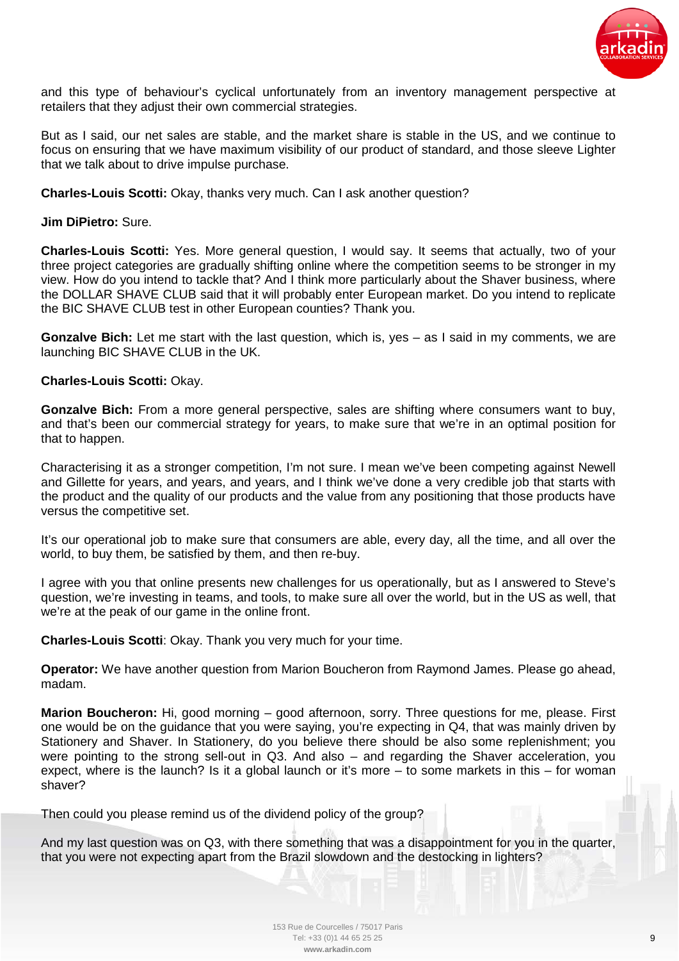

and this type of behaviour's cyclical unfortunately from an inventory management perspective at retailers that they adjust their own commercial strategies.

But as I said, our net sales are stable, and the market share is stable in the US, and we continue to focus on ensuring that we have maximum visibility of our product of standard, and those sleeve Lighter that we talk about to drive impulse purchase.

**Charles-Louis Scotti:** Okay, thanks very much. Can I ask another question?

# **Jim DiPietro:** Sure.

**Charles-Louis Scotti:** Yes. More general question, I would say. It seems that actually, two of your three project categories are gradually shifting online where the competition seems to be stronger in my view. How do you intend to tackle that? And I think more particularly about the Shaver business, where the DOLLAR SHAVE CLUB said that it will probably enter European market. Do you intend to replicate the BIC SHAVE CLUB test in other European counties? Thank you.

**Gonzalve Bich:** Let me start with the last question, which is, yes – as I said in my comments, we are launching BIC SHAVE CLUB in the UK.

## **Charles-Louis Scotti:** Okay.

**Gonzalve Bich:** From a more general perspective, sales are shifting where consumers want to buy, and that's been our commercial strategy for years, to make sure that we're in an optimal position for that to happen.

Characterising it as a stronger competition, I'm not sure. I mean we've been competing against Newell and Gillette for years, and years, and years, and I think we've done a very credible job that starts with the product and the quality of our products and the value from any positioning that those products have versus the competitive set.

It's our operational job to make sure that consumers are able, every day, all the time, and all over the world, to buy them, be satisfied by them, and then re-buy.

I agree with you that online presents new challenges for us operationally, but as I answered to Steve's question, we're investing in teams, and tools, to make sure all over the world, but in the US as well, that we're at the peak of our game in the online front.

**Charles-Louis Scotti**: Okay. Thank you very much for your time.

**Operator:** We have another question from Marion Boucheron from Raymond James. Please go ahead, madam.

**Marion Boucheron:** Hi, good morning – good afternoon, sorry. Three questions for me, please. First one would be on the guidance that you were saying, you're expecting in Q4, that was mainly driven by Stationery and Shaver. In Stationery, do you believe there should be also some replenishment; you were pointing to the strong sell-out in Q3. And also – and regarding the Shaver acceleration, you expect, where is the launch? Is it a global launch or it's more – to some markets in this – for woman shaver?

Then could you please remind us of the dividend policy of the group?

And my last question was on Q3, with there something that was a disappointment for you in the quarter, that you were not expecting apart from the Brazil slowdown and the destocking in lighters?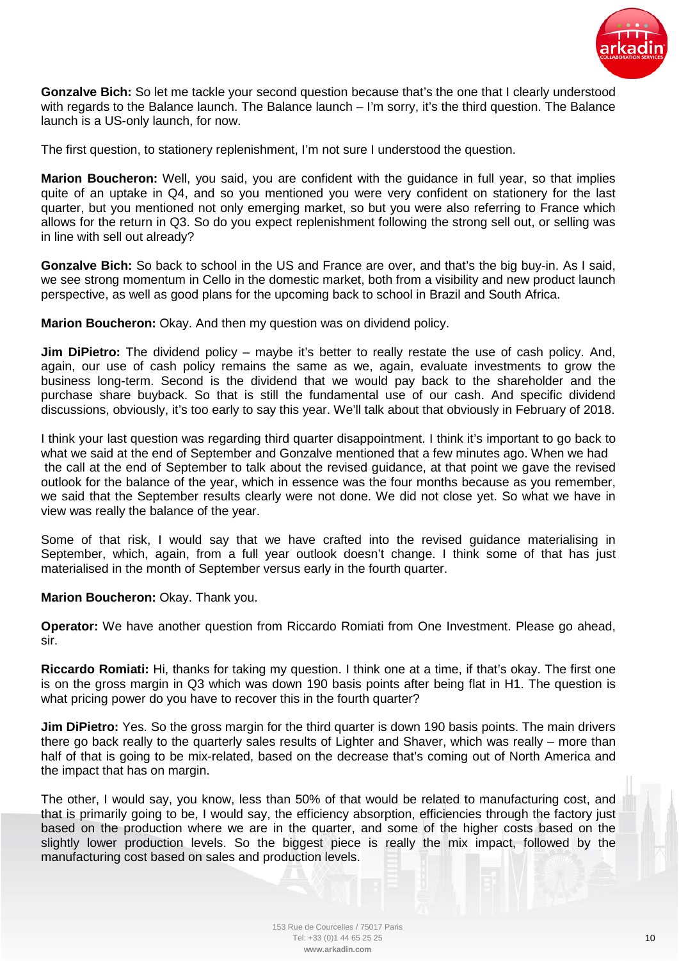

**Gonzalve Bich:** So let me tackle your second question because that's the one that I clearly understood with regards to the Balance launch. The Balance launch – I'm sorry, it's the third question. The Balance launch is a US-only launch, for now.

The first question, to stationery replenishment, I'm not sure I understood the question.

**Marion Boucheron:** Well, you said, you are confident with the guidance in full year, so that implies quite of an uptake in Q4, and so you mentioned you were very confident on stationery for the last quarter, but you mentioned not only emerging market, so but you were also referring to France which allows for the return in Q3. So do you expect replenishment following the strong sell out, or selling was in line with sell out already?

**Gonzalve Bich:** So back to school in the US and France are over, and that's the big buy-in. As I said, we see strong momentum in Cello in the domestic market, both from a visibility and new product launch perspective, as well as good plans for the upcoming back to school in Brazil and South Africa.

**Marion Boucheron:** Okay. And then my question was on dividend policy.

**Jim DiPietro:** The dividend policy – maybe it's better to really restate the use of cash policy. And, again, our use of cash policy remains the same as we, again, evaluate investments to grow the business long-term. Second is the dividend that we would pay back to the shareholder and the purchase share buyback. So that is still the fundamental use of our cash. And specific dividend discussions, obviously, it's too early to say this year. We'll talk about that obviously in February of 2018.

I think your last question was regarding third quarter disappointment. I think it's important to go back to what we said at the end of September and Gonzalve mentioned that a few minutes ago. When we had the call at the end of September to talk about the revised guidance, at that point we gave the revised outlook for the balance of the year, which in essence was the four months because as you remember, we said that the September results clearly were not done. We did not close yet. So what we have in view was really the balance of the year.

Some of that risk, I would say that we have crafted into the revised guidance materialising in September, which, again, from a full year outlook doesn't change. I think some of that has just materialised in the month of September versus early in the fourth quarter.

**Marion Boucheron:** Okay. Thank you.

**Operator:** We have another question from Riccardo Romiati from One Investment. Please go ahead, sir.

**Riccardo Romiati:** Hi, thanks for taking my question. I think one at a time, if that's okay. The first one is on the gross margin in Q3 which was down 190 basis points after being flat in H1. The question is what pricing power do you have to recover this in the fourth quarter?

**Jim DiPietro:** Yes. So the gross margin for the third quarter is down 190 basis points. The main drivers there go back really to the quarterly sales results of Lighter and Shaver, which was really – more than half of that is going to be mix-related, based on the decrease that's coming out of North America and the impact that has on margin.

The other, I would say, you know, less than 50% of that would be related to manufacturing cost, and that is primarily going to be, I would say, the efficiency absorption, efficiencies through the factory just based on the production where we are in the quarter, and some of the higher costs based on the slightly lower production levels. So the biggest piece is really the mix impact, followed by the manufacturing cost based on sales and production levels.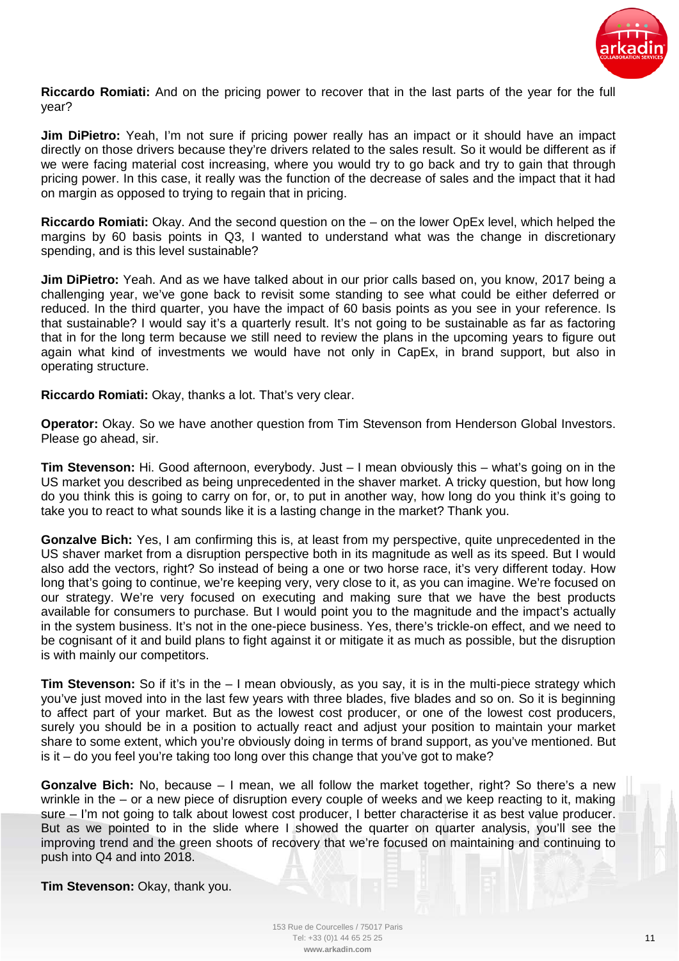

**Riccardo Romiati:** And on the pricing power to recover that in the last parts of the year for the full year?

**Jim DiPietro:** Yeah, I'm not sure if pricing power really has an impact or it should have an impact directly on those drivers because they're drivers related to the sales result. So it would be different as if we were facing material cost increasing, where you would try to go back and try to gain that through pricing power. In this case, it really was the function of the decrease of sales and the impact that it had on margin as opposed to trying to regain that in pricing.

**Riccardo Romiati:** Okay. And the second question on the – on the lower OpEx level, which helped the margins by 60 basis points in Q3, I wanted to understand what was the change in discretionary spending, and is this level sustainable?

**Jim DiPietro:** Yeah. And as we have talked about in our prior calls based on, you know, 2017 being a challenging year, we've gone back to revisit some standing to see what could be either deferred or reduced. In the third quarter, you have the impact of 60 basis points as you see in your reference. Is that sustainable? I would say it's a quarterly result. It's not going to be sustainable as far as factoring that in for the long term because we still need to review the plans in the upcoming years to figure out again what kind of investments we would have not only in CapEx, in brand support, but also in operating structure.

**Riccardo Romiati:** Okay, thanks a lot. That's very clear.

**Operator:** Okay. So we have another question from Tim Stevenson from Henderson Global Investors. Please go ahead, sir.

**Tim Stevenson:** Hi. Good afternoon, everybody. Just – I mean obviously this – what's going on in the US market you described as being unprecedented in the shaver market. A tricky question, but how long do you think this is going to carry on for, or, to put in another way, how long do you think it's going to take you to react to what sounds like it is a lasting change in the market? Thank you.

**Gonzalve Bich:** Yes, I am confirming this is, at least from my perspective, quite unprecedented in the US shaver market from a disruption perspective both in its magnitude as well as its speed. But I would also add the vectors, right? So instead of being a one or two horse race, it's very different today. How long that's going to continue, we're keeping very, very close to it, as you can imagine. We're focused on our strategy. We're very focused on executing and making sure that we have the best products available for consumers to purchase. But I would point you to the magnitude and the impact's actually in the system business. It's not in the one-piece business. Yes, there's trickle-on effect, and we need to be cognisant of it and build plans to fight against it or mitigate it as much as possible, but the disruption is with mainly our competitors.

**Tim Stevenson:** So if it's in the – I mean obviously, as you say, it is in the multi-piece strategy which you've just moved into in the last few years with three blades, five blades and so on. So it is beginning to affect part of your market. But as the lowest cost producer, or one of the lowest cost producers, surely you should be in a position to actually react and adjust your position to maintain your market share to some extent, which you're obviously doing in terms of brand support, as you've mentioned. But is it  $-$  do you feel you're taking too long over this change that you've got to make?

**Gonzalve Bich:** No, because – I mean, we all follow the market together, right? So there's a new wrinkle in the – or a new piece of disruption every couple of weeks and we keep reacting to it, making sure – I'm not going to talk about lowest cost producer, I better characterise it as best value producer. But as we pointed to in the slide where I showed the quarter on quarter analysis, you'll see the improving trend and the green shoots of recovery that we're focused on maintaining and continuing to push into Q4 and into 2018.

**Tim Stevenson:** Okay, thank you.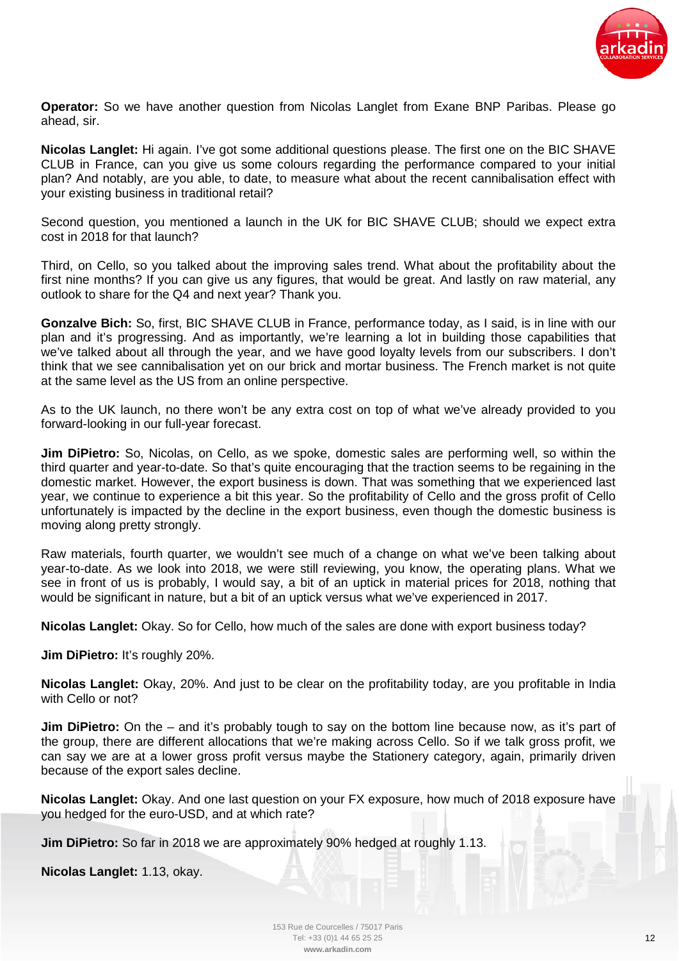

**Operator:** So we have another question from Nicolas Langlet from Exane BNP Paribas. Please go ahead, sir.

**Nicolas Langlet:** Hi again. I've got some additional questions please. The first one on the BIC SHAVE CLUB in France, can you give us some colours regarding the performance compared to your initial plan? And notably, are you able, to date, to measure what about the recent cannibalisation effect with your existing business in traditional retail?

Second question, you mentioned a launch in the UK for BIC SHAVE CLUB; should we expect extra cost in 2018 for that launch?

Third, on Cello, so you talked about the improving sales trend. What about the profitability about the first nine months? If you can give us any figures, that would be great. And lastly on raw material, any outlook to share for the Q4 and next year? Thank you.

**Gonzalve Bich:** So, first, BIC SHAVE CLUB in France, performance today, as I said, is in line with our plan and it's progressing. And as importantly, we're learning a lot in building those capabilities that we've talked about all through the year, and we have good loyalty levels from our subscribers. I don't think that we see cannibalisation yet on our brick and mortar business. The French market is not quite at the same level as the US from an online perspective.

As to the UK launch, no there won't be any extra cost on top of what we've already provided to you forward-looking in our full-year forecast.

**Jim DiPietro:** So, Nicolas, on Cello, as we spoke, domestic sales are performing well, so within the third quarter and year-to-date. So that's quite encouraging that the traction seems to be regaining in the domestic market. However, the export business is down. That was something that we experienced last year, we continue to experience a bit this year. So the profitability of Cello and the gross profit of Cello unfortunately is impacted by the decline in the export business, even though the domestic business is moving along pretty strongly.

Raw materials, fourth quarter, we wouldn't see much of a change on what we've been talking about year-to-date. As we look into 2018, we were still reviewing, you know, the operating plans. What we see in front of us is probably, I would say, a bit of an uptick in material prices for 2018, nothing that would be significant in nature, but a bit of an uptick versus what we've experienced in 2017.

**Nicolas Langlet:** Okay. So for Cello, how much of the sales are done with export business today?

**Jim DiPietro:** It's roughly 20%.

**Nicolas Langlet:** Okay, 20%. And just to be clear on the profitability today, are you profitable in India with Cello or not?

**Jim DiPietro:** On the – and it's probably tough to say on the bottom line because now, as it's part of the group, there are different allocations that we're making across Cello. So if we talk gross profit, we can say we are at a lower gross profit versus maybe the Stationery category, again, primarily driven because of the export sales decline.

**Nicolas Langlet:** Okay. And one last question on your FX exposure, how much of 2018 exposure have you hedged for the euro-USD, and at which rate?

**Jim DiPietro:** So far in 2018 we are approximately 90% hedged at roughly 1.13.

**Nicolas Langlet:** 1.13, okay.